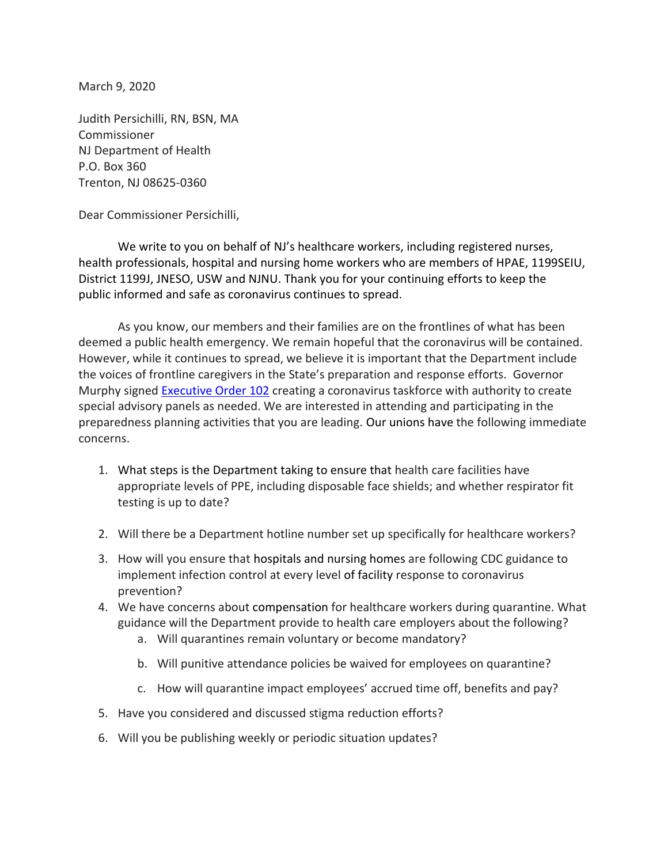March 9, 2020

Judith Persichilli, RN, BSN, MA Commissioner NJ Department of Health P.O. Box 360 Trenton, NJ 08625-0360

Dear Commissioner Persichilli,

We write to you on behalf of NJ's healthcare workers, including registered nurses, health professionals, hospital and nursing home workers who are members of HPAE, 1199SEIU, District 1199J, JNESO, USW and NJNU. Thank you for your continuing efforts to keep the public informed and safe as coronavirus continues to spread.

As you know, our members and their families are on the frontlines of what has been deemed a public health emergency. We remain hopeful that the coronavirus will be contained. However, while it continues to spread, we believe it is important that the Department include the voices of frontline caregivers in the State's preparation and response efforts. Governor Murphy signed [Executive](https://nam02.safelinks.protection.outlook.com/?url=https%3A%2F%2Furldefense.proofpoint.com%2Fv2%2Furl%3Fu%3Dhttps-3A__nam02.safelinks.protection.outlook.com_-3Furl-3Dhttps-253A-252F-252Fnj.gov-252Finfobank-252Feo-252F056murphy-252Fpdf-252FE0-2D102.pdf-26data-3D02-257C01-257Civette.mendez-25401199.org-257C039003064e5a4c26ac6108d7c1ded8c7-257C9108f64113f344f79b447208f6eaa4e1-257C0-257C0-257C637191035167241166-26sdata-3DsVVwgY9vd9wgE6QlQsE9ZzGM-252FXxQClL-252FYdfrT6QkRb0-253D-26reserved-3D0%26d%3DDwMFAg%26c%3DeuGZstcaTDllvimEN8b7jXrwqOf-v5A_CdpgnVfiiMM%26r%3DMOffpCjSlNHV1_v0hitk9A%26m%3DaOChXYW7DrHx_w_ivVbkl-Zwt5RD2QIILH9i5CH66as%26s%3DlmHOT1sifBVEr50lnBkVtKbeu1W0pIjT-Hq8j5IVN2s%26e%3D&data=02%7C01%7Civette.mendez%401199.org%7C67c0af0aa25f4e9fa9cf08d7c1ed241c%7C9108f64113f344f79b447208f6eaa4e1%7C0%7C0%7C637191096577392851&sdata=1fr40vyHjO4zdYqgc2O%2BW3GhzjFIEMej7fXRgXElPtw%3D&reserved=0) Order 102 creating a coronavirus taskforce with authority to create special advisory panels as needed. We are interested in attending and participating in the preparedness planning activities that you are leading. Our unions have the following immediate concerns.

- 1. What steps is the Department taking to ensure that health care facilities have appropriate levels of PPE, including disposable face shields; and whether respirator fit testing is up to date?
- 2. Will there be a Department hotline number set up specifically for healthcare workers?
- 3. How will you ensure that hospitals and nursing homes are following CDC guidance to implement infection control at every level of facility response to coronavirus prevention?
- 4. We have concerns about compensation for healthcare workers during quarantine. What guidance will the Department provide to health care employers about the following?
	- a. Will quarantines remain voluntary or become mandatory?
	- b. Will punitive attendance policies be waived for employees on quarantine?
	- c. How will quarantine impact employees' accrued time off, benefits and pay?
- 5. Have you considered and discussed stigma reduction efforts?
- 6. Will you be publishing weekly or periodic situation updates?